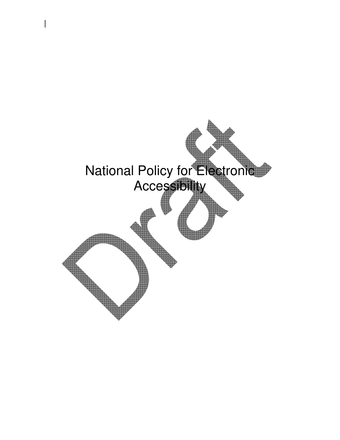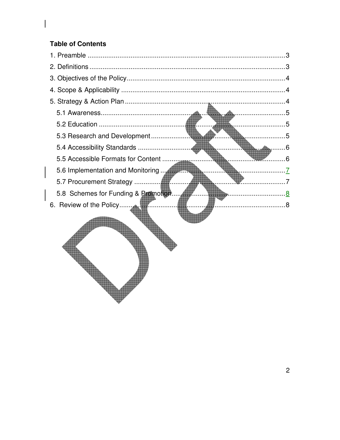#### **Table of Contents**

V

| <b>5</b>                                                                                                                   |     |
|----------------------------------------------------------------------------------------------------------------------------|-----|
|                                                                                                                            |     |
|                                                                                                                            | . 6 |
| 5.6 Implementation and Monitoring <b>All Property Contains and School</b><br><b>The Communication of the Communication</b> |     |
|                                                                                                                            |     |
|                                                                                                                            |     |
|                                                                                                                            |     |
|                                                                                                                            |     |
|                                                                                                                            |     |
|                                                                                                                            |     |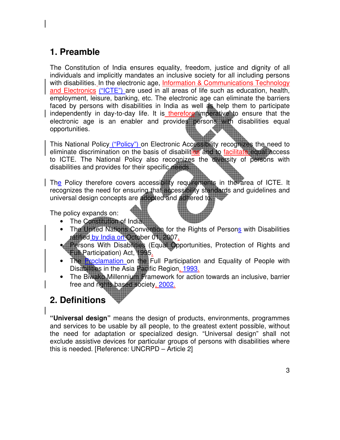## 1. Preamble

The Constitution of India ensures equality, freedom, justice and dignity of all individuals and implicitly mandates an inclusive society for all including persons with disabilities. In the electronic age, Information & Communications Technology and Electronics ("ICTE") are used in all areas of life such as education, health, employment, leisure, banking, etc. The electronic age can eliminate the barriers faced by persons with disabilities in India as well **as** help them to participate independently in day-to-day life. It is therefore imperative to ensure that the electronic age is an enabler and provides persons with disabilities equal opportunities.

This National Policy ("Policy") on Electronic Accessibility recognizes the need to eliminate discrimination on the basis of disabilities and to facilitate equal access to ICTE. The National Policy also recognizes the diversity of persons with disabilities and provides for their specific needs.

The Policy therefore covers accessibility requirements in the area of ICTE. It recognizes the need for ensuring that accessibility standards and guidelines and universal design concepts are adopted and adhered to.

The policy expands on:

- The Constitution of India.
- The United Nations Convention for the Rights of Persons with Disabilities ratified by India on October 01, 2007.
- Persons With Disabilities (Equal Opportunities, Protection of Rights and Full Participation) Act, 1995.
- The Proclamation on the Full Participation and Equality of People with Disabilities in the Asia Pacific Region, 1993.
- The Biwako Millennium Framework for action towards an inclusive, barrier free and rights based society, 2002.

# 2. Definitions

"Universal design" means the design of products, environments, programmes and services to be usable by all people, to the greatest extent possible, without the need for adaptation or specialized design. "Universal design" shall not exclude assistive devices for particular groups of persons with disabilities where this is needed. [Reference: UNCRPD – Article 2]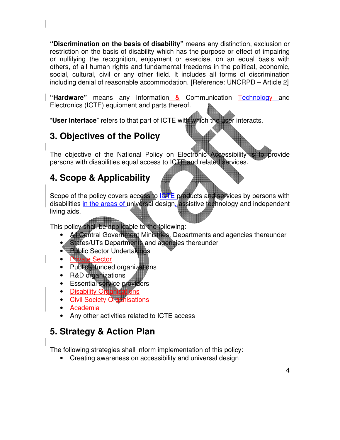"Discrimination on the basis of disability" means any distinction, exclusion or restriction on the basis of disability which has the purpose or effect of impairing or nullifying the recognition, enjoyment or exercise, on an equal basis with others, of all human rights and fundamental freedoms in the political, economic, social, cultural, civil or any other field. It includes all forms of discrimination including denial of reasonable accommodation. [Reference: UNCRPD – Article 2]

"Hardware" means any Information & Communication Technology and Electronics (ICTE) equipment and parts thereof.

"User Interface" refers to that part of ICTE with which the user interacts.

# 3. Objectives of the Policy

The objective of the National Policy on Electronic Accessibility is to provide persons with disabilities equal access to ICTE and related services.

# 4. Scope & Applicability

Scope of the policy covers access to **ICTE** products and services by persons with disabilities in the areas of universal design, assistive technology and independent living aids.

This policy shall be applicable to the following:

- All Central Government Ministries, Departments and agencies thereunder
- **States/UTs Departments and agencies thereunder**
- Public Sector Undertakings
- e Sector
- Publicly funded organizations
- R&D organizations
- **Essential service providers**
- Disability Organ
- **Civil Society Organisations**
- Academia
- Any other activities related to ICTE access

# 5. Strategy & Action Plan

The following strategies shall inform implementation of this policy:

• Creating awareness on accessibility and universal design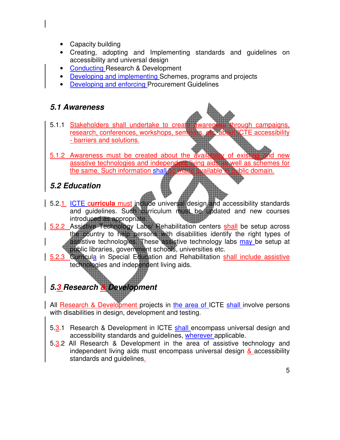- Capacity building
- Creating, adopting and Implementing standards and guidelines on accessibility and universal design
- Conducting Research & Development
- Developing and implementing Schemes, programs and projects
- **EXECUTE: Developing and enforcing Procurement Guidelines**

#### 5.1 Awareness

- 5.1.1 Stakeholders shall undertake to create awareness through campaigns, research, conferences, workshops, seminars, etc. about ICTE accessibility - barriers and solutions.
- 5.1.2 Awareness must be created about the availability of assistive technologies and independent living aids as well as schemes for the same. Such information shall be made available in public domain.

## 5.2 Education

- 5.2.1 ICTE curricula must include universal design and accessibility standards and guidelines. Such curriculum must be updated and new courses introduced as appropriate.
- 5.2.2 Assistive Technology Labs/ Rehabilitation centers shall be setup across the country to help persons with disabilities identify the right types of assistive technologies. These assistive technology labs may be setup at public libraries, government schools, universities etc.
- 5.2.3 Curricula in Special Education and Rehabilitation shall include assistive technologies and independent living aids.

# 5.3 Research & Development

All Research & Development projects in the area of ICTE shall involve persons with disabilities in design, development and testing.

- 5.3.1 Research & Development in ICTE shall encompass universal design and accessibility standards and guidelines, wherever applicable.
- 5.3.2 All Research & Development in the area of assistive technology and independent living aids must encompass universal design & accessibility standards and guidelines.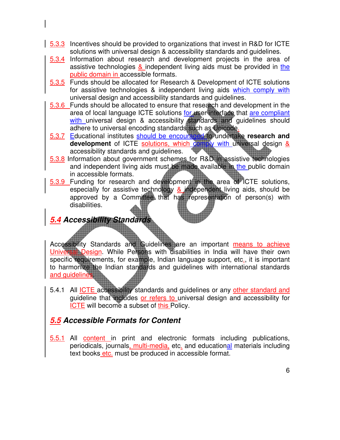- 5.3.3 Incentives should be provided to organizations that invest in R&D for ICTE solutions with universal design & accessibility standards and guidelines.
- 5.3.4 Information about research and development projects in the area of assistive technologies  $\&$  independent living aids must be provided in the public domain in accessible formats.
- 5.3.5 Funds should be allocated for Research & Development of ICTE solutions for assistive technologies & independent living aids which comply with universal design and accessibility standards and guidelines.
- 5.3.6 Funds should be allocated to ensure that research and development in the area of local language ICTE solutions for user interface that are compliant with universal design & accessibility standards and guidelines should adhere to universal encoding standards such as Unicode.
- 5.3.7 Educational institutes should be encouraged to undertake research and development of ICTE solutions, which comply with universal design & accessibility standards and guidelines.
- 5.3.8 Information about government schemes for R&D in assistive technologies and independent living aids must be made available in the public domain in accessible formats.
- 5.3.9 Funding for research and development in the area of ICTE solutions, especially for assistive technology & independent living aids, should be approved by a Committee that has representation of person(s) with disabilities.

## 5.4 Accessibility Standard

Accessibility Standards and Guidelines are an important means to achieve Universal Design. While Persons with disabilities in India will have their own specific requirements, for example, Indian language support, etc., it is important to harmonize the Indian standards and guidelines with international standards and guidelines.

5.4.1 All **ICTE** accessibility standards and guidelines or any other standard and guideline that includes or refers to universal design and accessibility for ICTE will become a subset of this Policy.

## 5.5 Accessible Formats for Content

5.5.1 All content in print and electronic formats including publications, periodicals, journals, multi-media, etc. and educational materials including text books etc. must be produced in accessible format.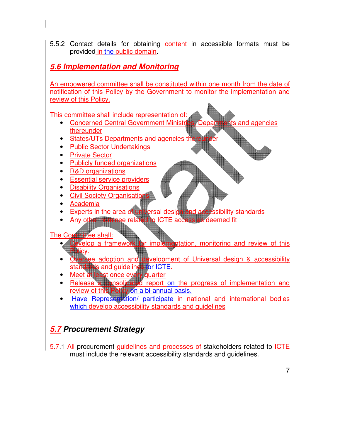5.5.2 Contact details for obtaining content in accessible formats must be provided in the public domain.

#### 5.6 Implementation and Monitoring

An empowered committee shall be constituted within one month from the date of notification of this Policy by the Government to monitor the implementation and review of this Policy.

This committee shall include representation of:

- Concerned Central Government Ministries, Departments and agencies thereunder
- States/UTs Departments and agencies the
- Public Sector Undertakings
- Private Sector
- Publicly funded organizations
- R&D organizations
- Essential service providers
- Disability Organisations
- **Civil Society Organisation**
- Academia
- Experts in the area of universal design and accessibility standards
- Any other nominee related to ICTE access as deemed fit

- The Committee shall:<br>• Develop a framewo for implementation, monitoring and review of this Policy.
	- ee adoption and development of Universal design & accessibility standards and guidelines for ICTE.
	- Meet at least once every quarter
	- Release a consolidated report on the progress of implementation and review of this Policy on a bi-annual basis.
	- Have Representation/ participate in national and international bodies which develop accessibility standards and quidelines

## 5.7 Procurement Strategy

5.7.1 All procurement guidelines and processes of stakeholders related to ICTE must include the relevant accessibility standards and guidelines.